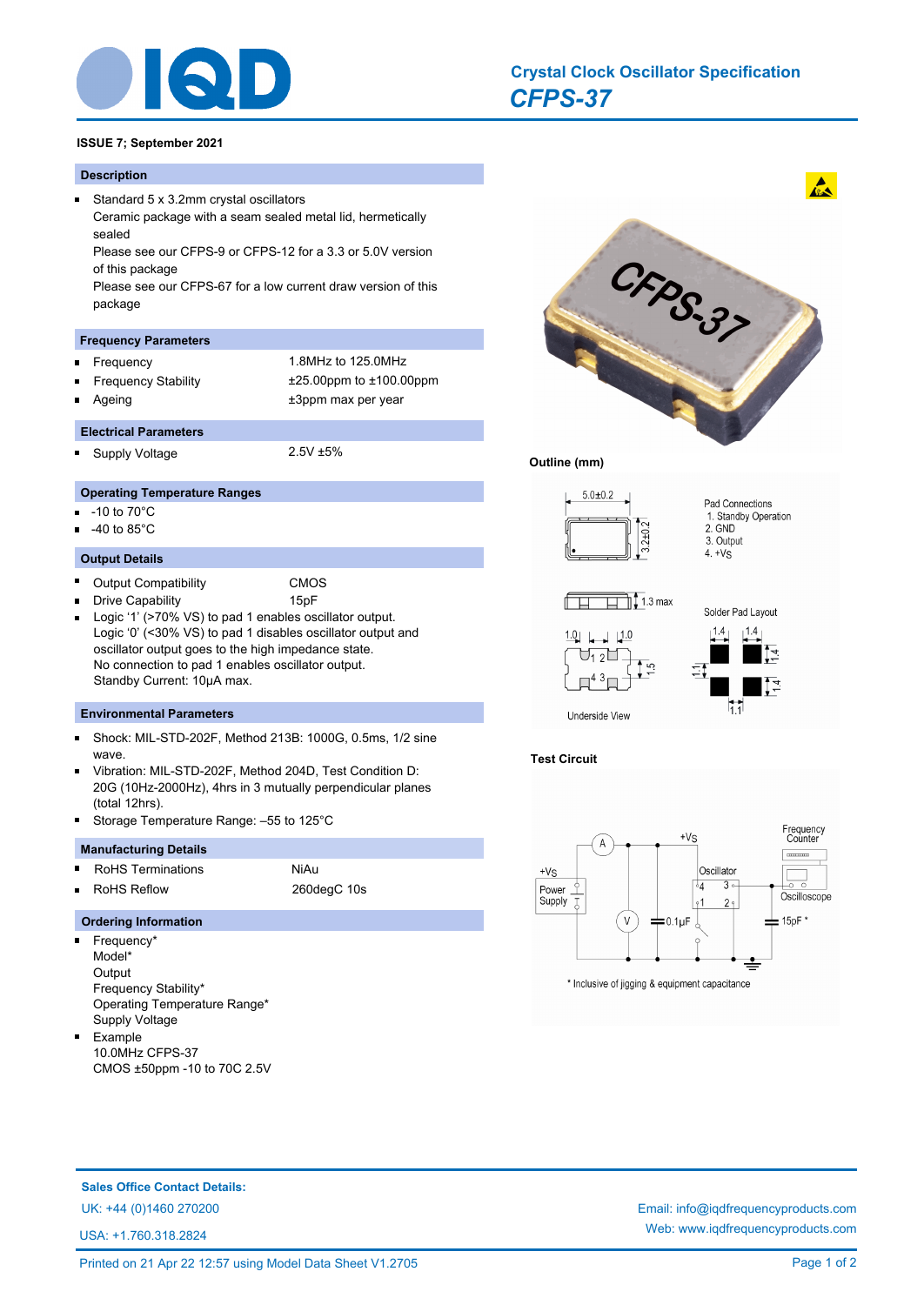

# *CFPS-37* **Crystal Clock Oscillator Specification**

# **ISSUE 7; September 2021**

#### **Description**

 $\blacksquare$ 

Standard 5 x 3.2mm crystal oscillators Ceramic package with a seam sealed metal lid, hermetically sealed Please see our CFPS-9 or CFPS-12 for a 3.3 or 5.0V version of this package Please see our CFPS-67 for a low current draw version of this package

## **Frequency Parameters**

- Frequency 1.8MHz to 125.0MHz o.
- Frequency Stability ±25.00ppm to ±100.00ppm Ē

**Electrical Parameters**

Ageing table 13ppm max per year

Supply Voltage 2.5V ±5%

## **Operating Temperature Ranges**

- -10 to 70°C n
- -40 to 85°C

## **Output Details**

 $\blacksquare$ 

- $\blacksquare$ Output Compatibility CMOS
	- Drive Capability 15pF
- Logic '1' (>70% VS) to pad 1 enables oscillator output.  $\blacksquare$ Logic '0' (<30% VS) to pad 1 disables oscillator output and oscillator output goes to the high impedance state. No connection to pad 1 enables oscillator output. Standby Current: 10μA max.

## **Environmental Parameters**

- $\blacksquare$ Shock: MIL-STD-202F, Method 213B: 1000G, 0.5ms, 1/2 sine wave.
- Vibration: MIL-STD-202F, Method 204D, Test Condition D:  $\blacksquare$ 20G (10Hz-2000Hz), 4hrs in 3 mutually perpendicular planes (total 12hrs).
- Storage Temperature Range: –55 to 125°C

#### **Manufacturing Details**

- RoHS Terminations NiAu m.
- RoHS Reflow 260degC 10s Ē

# **Ordering Information**

- $\blacksquare$ Frequency\* Model\* **Output** Frequency Stability\* Operating Temperature Range\* Supply Voltage
- $\blacksquare$ Example 10.0MHz CFPS-37 CMOS ±50ppm -10 to 70C 2.5V



**Outline (mm)** 



## **Test Circuit**



\* Inclusive of jigging & equipment capacitance

**Sales Office Contact Details:**

USA: +1.760.318.2824

UK: +44 (0)1460 270200 Email: info@iqdfrequencyproducts.com Web: www.iqdfrequencyproducts.com